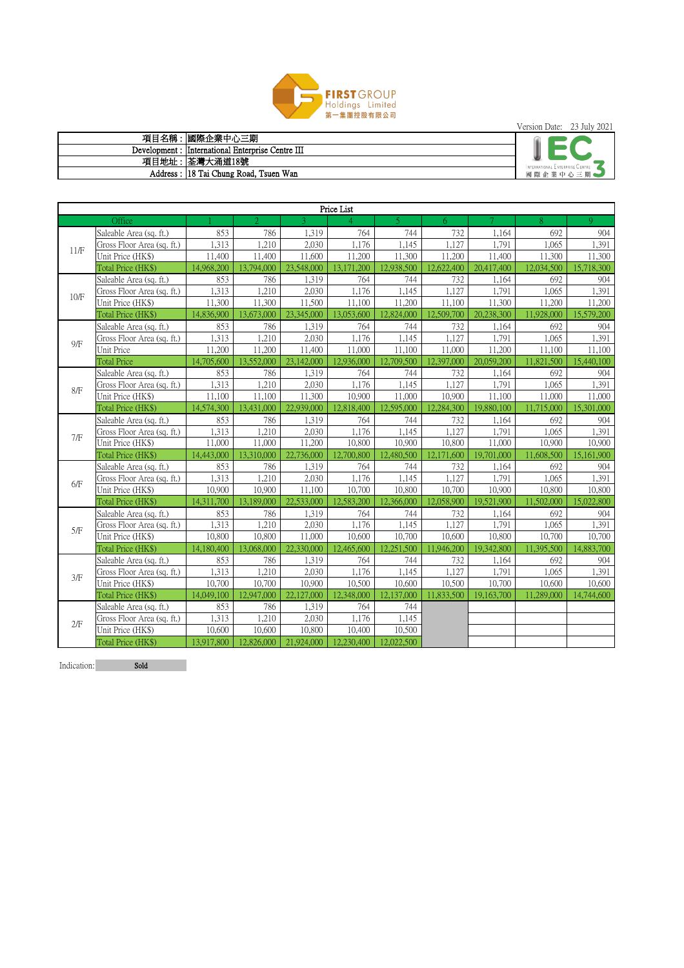

Version Date: 23 July 2021

|      | Price List                 |            |            |            |            |                          |            |            |            |            |
|------|----------------------------|------------|------------|------------|------------|--------------------------|------------|------------|------------|------------|
|      | Office                     |            |            |            | 4          | $\overline{\mathcal{L}}$ | 6          |            | 8          | 9          |
| 11/F | Saleable Area (sq. ft.)    | 853        | 786        | 1,319      | 764        | 744                      | 732        | 1,164      | 692        | 904        |
|      | Gross Floor Area (sq. ft.) | 1,313      | ,210       | 2,030      | 1,176      | 1,145                    | 1,127      | 1,791      | 1,065      | 1,391      |
|      | Unit Price (HK\$)          | 11,400     | 11,400     | 11,600     | 11,200     | 11,300                   | 11,200     | 11,400     | 11,300     | 11,300     |
|      | Total Price (HK\$)         | 14,968,200 | 13,794,000 | 23,548,000 | 13,171,200 | 12,938,500               | 12,622,400 | 20,417,400 | 12,034,500 | 15,718,300 |
|      | Saleable Area (sq. ft.)    | 853        | 786        | 1,319      | 764        | 744                      | 732        | 1,164      | 692        | 904        |
| 10/F | Gross Floor Area (sq. ft.) | 1,313      | 1,210      | 2,030      | 1,176      | 1,145                    | 1,127      | 1,791      | 1,065      | 1,391      |
|      | Unit Price (HK\$)          | 11,300     | 11,300     | 11,500     | 11,100     | 11,200                   | 11,100     | 11,300     | 11,200     | 11,200     |
|      | Total Price (HK\$)         | 14,836,900 | 13,673,000 | 23,345,000 | 13,053,600 | 12,824,000               | 12,509,700 | 20,238,300 | 11,928,000 | 15,579,200 |
|      | Saleable Area (sq. ft.)    | 853        | 786        | 1,319      | 764        | 744                      | 732        | 1,164      | 692        | 904        |
| 9/F  | Gross Floor Area (sq. ft.) | 1,313      | ,210       | 2,030      | 1,176      | 1,145                    | 1,127      | 1,791      | 1,065      | 1,391      |
|      | Unit Price                 | 11,200     | 11,200     | 11,400     | 11,000     | 11,100                   | 11,000     | 11,200     | 11,100     | 11,100     |
|      | <b>Total Price</b>         | 14,705,600 | 13,552,000 | 23,142,000 | 12,936,000 | 12,709,500               | 12,397,000 | 20,059,200 | 11,821,500 | 15,440,100 |
|      | Saleable Area (sq. ft.)    | 853        | 786        | 1,319      | 764        | 744                      | 732        | 1,164      | 692        | 904        |
| 8/F  | Gross Floor Area (sq. ft.) | 1,313      | 1,210      | 2,030      | 1,176      | 1,145                    | 1,127      | 1,791      | 1,065      | 1,391      |
|      | Unit Price (HK\$)          | 11,100     | 11,100     | 11,300     | 10,900     | 11,000                   | 10,900     | 11,100     | 11,000     | 11,000     |
|      | Total Price (HK\$)         | 14,574,300 | 13,431,000 | 22,939,000 | 12,818,400 | 12,595,000               | 12,284,300 | 19,880,100 | 11,715,000 | 15,301,000 |
|      | Saleable Area (sq. ft.)    | 853        | 786        | 1,319      | 764        | 744                      | 732        | 1,164      | 692        | 904        |
| 7/F  | Gross Floor Area (sq. ft.) | 1,313      | ,210       | 2,030      | 1,176      | 1,145                    | 1,127      | 1,791      | 1,065      | 1,391      |
|      | Unit Price (HK\$)          | 11,000     | 11,000     | 11,200     | 10,800     | 10,900                   | 10,800     | 11,000     | 10,900     | 10,900     |
|      | Total Price (HK\$)         | 14,443,000 | 13,310,000 | 22,736,000 | 12,700,800 | 12,480,500               | 12,171,600 | 19,701,000 | 11,608,500 | 15,161,900 |
|      | Saleable Area (sq. ft.)    | 853        | 786        | 1,319      | 764        | 744                      | 732        | 1,164      | 692        | 904        |
| 6/F  | Gross Floor Area (sq. ft.) | 1,313      | 1,210      | 2,030      | 1,176      | 1,145                    | 1,127      | 1,791      | 1,065      | 1,391      |
|      | Unit Price (HK\$)          | 10,900     | 10,900     | 11,100     | 10,700     | 10,800                   | 10,700     | 10,900     | 10,800     | 10,800     |
|      | Total Price (HK\$)         | 14,311,700 | 13,189,000 | 22,533,000 | 12,583,200 | 12,366,000               | 12,058,900 | 19,521,900 | 11,502,000 | 15,022,800 |
|      | Saleable Area (sq. ft.)    | 853        | 786        | 1,319      | 764        | 744                      | 732        | 1,164      | 692        | 904        |
| 5/F  | Gross Floor Area (sq. ft.) | 1,313      | ,210       | 2,030      | 1,176      | 1,145                    | 1,127      | 1,791      | 1,065      | 1,391      |
|      | Unit Price (HK\$)          | 10,800     | 10,800     | 11,000     | 10,600     | 10,700                   | 10,600     | 10,800     | 10,700     | 10,700     |
|      | Total Price (HK\$)         | 14,180,400 | 13,068,000 | 22,330,000 | 12,465,600 | 12,251,500               | 11,946,200 | 19,342,800 | 11,395,500 | 14,883,700 |
|      | Saleable Area (sq. ft.)    | 853        | 786        | 1,319      | 764        | 744                      | 732        | 1,164      | 692        | 904        |
| 3/F  | Gross Floor Area (sq. ft.) | 1,313      | ,210       | 2,030      | 1,176      | 1,145                    | 1,127      | 1,791      | 1,065      | 1,391      |
|      | Unit Price (HK\$)          | 10,700     | 10,700     | 10,900     | 10,500     | 10,600                   | 10,500     | 10,700     | 10,600     | 10,600     |
|      | Total Price (HK\$)         | 14,049,100 | 12,947,000 | 22,127,000 | 12,348,000 | 12,137,000               | 11,833,500 | 19,163,700 | 11,289,000 | 14,744,600 |
|      | Saleable Area (sq. ft.)    | 853        | 786        | 1,319      | 764        | 744                      |            |            |            |            |
| 2/F  | Gross Floor Area (sq. ft.) | 1,313      | ,210       | 2,030      | 1,176      | 1,145                    |            |            |            |            |
|      | Unit Price (HK\$)          | 10,600     | 10,600     | 10,800     | 10,400     | 10,500                   |            |            |            |            |
|      | Total Price (HK\$)         | 13,917,800 | 12,826,000 | 21,924,000 | 12,230,400 | 12,022,500               |            |            |            |            |

Indication: Sold

| 項目名稱 | 國際企業中心三期                                          |                                 |
|------|---------------------------------------------------|---------------------------------|
|      | Development : International Enterprise Centre III |                                 |
|      | 項目地址:  荃灣大涌道18號                                   | INTERNATIONAL ENTERPRISE CENTRE |
|      | Address: 18 Tai Chung Road, Tsuen Wan             | 國際企業中心三期                        |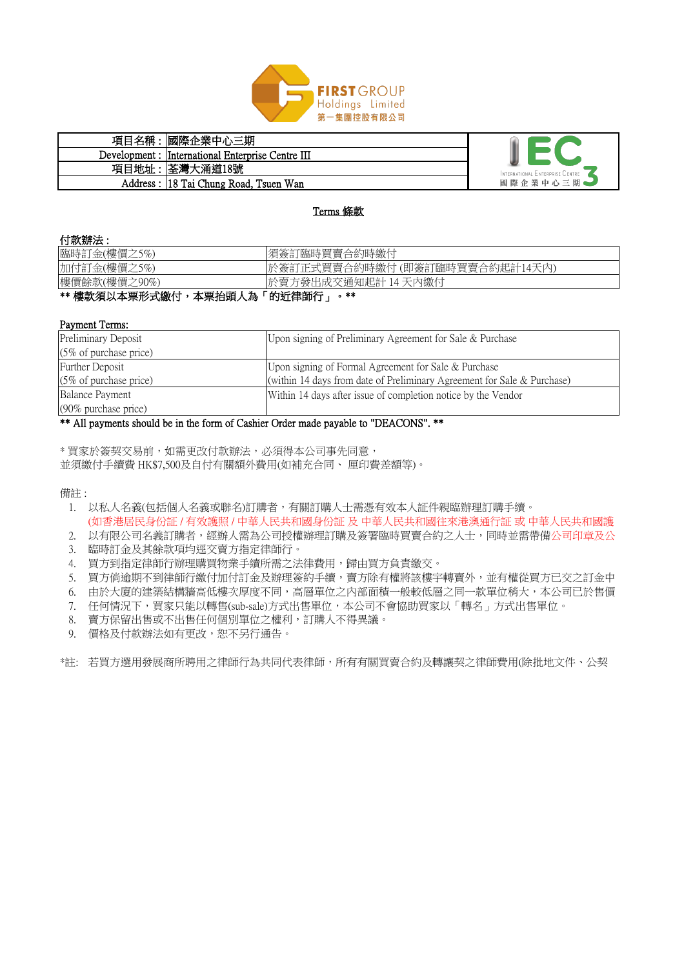## 付款辦法 :

## Payment Terms:

\* 買家於簽契交易前,如需更改付款辦法,必須得本公司事先同意, 並須繳付手續費 HK\$7,500及自付有關額外費用(如補充合同、 厘印費差額等)。

備註:



| 項目名稱 | 國際企業中心三期                                          |                                 |
|------|---------------------------------------------------|---------------------------------|
|      | Development : International Enterprise Centre III |                                 |
|      | 項目地址:  荃灣大涌道18號                                   | INTERNATIONAL ENTERPRISE CENTRE |
|      | Address : 18 Tai Chung Road, Tsuen Wan            | 國際企業中心三期                        |

## Terms 條款

| .            |                                    |
|--------------|------------------------------------|
| 臨時訂金(樓價之5%)  | 須簽訂臨時買賣合約時繳付                       |
| 加付訂金(樓價之5%)  | 於簽訂正式買賣合約時繳付(即簽訂臨時買賣合約起計14天內)      |
| 樓價餘款(樓價之90%) | 天內繳付<br>『方發出成交通知起計 14 』<br>於雲<br>⋿ |
|              | — ** * * * * * * * * * * *         |

| <b>Preliminary Deposit</b>        | Upon signing of Preliminary Agreement for Sale & Purchase                 |  |  |
|-----------------------------------|---------------------------------------------------------------------------|--|--|
| $(5\% \text{ of purchase price})$ |                                                                           |  |  |
| <b>Further Deposit</b>            | Upon signing of Formal Agreement for Sale & Purchase                      |  |  |
| $(5\% \text{ of purchase price})$ | (within 14 days from date of Preliminary Agreement for Sale $&$ Purchase) |  |  |
| Balance Payment                   | Within 14 days after issue of completion notice by the Vendor             |  |  |
| $(90\%$ purchase price)           |                                                                           |  |  |

\*\* 樓款須以本票形式繳付,本票抬頭人為「的近律師行」。\*\*

- 1. 以私人名義(包括個人名義或聯名)訂購者,有關訂購人士需憑有效本人証件親臨辦理訂購手續。 (如香港居民身份証 / 有效護照 / 中華人民共和國身份証 及 中華人民共和國往來港澳通行証 或 中華人民共和國護
- 2. 以有限公司名義訂購者,經辦人需為公司授權辦理訂購及簽署臨時買賣合約之人士,同時並需帶備公司印章及公
- 3. 臨時訂金及其餘款項均逕交賣方指定律師行。
- 4. 買方到指定律師行辦理購買物業手續所需之法律費用,歸由買方負責繳交。
- 5. 買方倘逾期不到律師行繳付加付訂金及辦理簽約手續,賣方除有權將該樓宇轉賣外,並有權從買方已交之訂金中
- 6. 由於大廈的建築結構牆高低樓次厚度不同,高層單位之內部面積一般較低層之同一款單位稍大,本公司已於售價
- 7. 任何情況下,買家只能以轉售(sub-sale)方式出售單位,本公司不會協助買家以「轉名」方式出售單位。
- 8. 賣方保留出售或不出售任何個別單位之權利,訂購人不得異議。
- 9. 價格及付款辦法如有更改,恕不另行通告。
- \*註: 若買方選用發展商所聘用之律師行為共同代表律師,所有有關買賣合約及轉讓契之律師費用(除批地文件、公契

\*\* All payments should be in the form of Cashier Order made payable to "DEACONS". \*\*